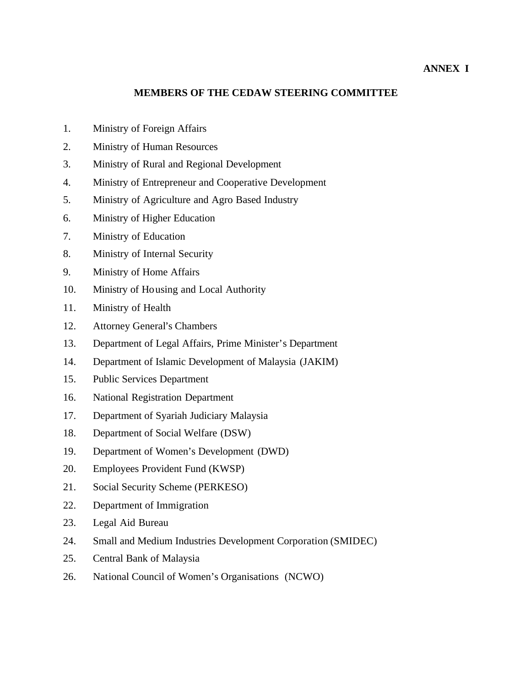# **ANNEX I**

## **MEMBERS OF THE CEDAW STEERING COMMITTEE**

- 1. Ministry of Foreign Affairs
- 2. Ministry of Human Resources
- 3. Ministry of Rural and Regional Development
- 4. Ministry of Entrepreneur and Cooperative Development
- 5. Ministry of Agriculture and Agro Based Industry
- 6. Ministry of Higher Education
- 7. Ministry of Education
- 8. Ministry of Internal Security
- 9. Ministry of Home Affairs
- 10. Ministry of Housing and Local Authority
- 11. Ministry of Health
- 12. Attorney General's Chambers
- 13. Department of Legal Affairs, Prime Minister's Department
- 14. Department of Islamic Development of Malaysia (JAKIM)
- 15. Public Services Department
- 16. National Registration Department
- 17. Department of Syariah Judiciary Malaysia
- 18. Department of Social Welfare (DSW)
- 19. Department of Women's Development (DWD)
- 20. Employees Provident Fund (KWSP)
- 21. Social Security Scheme (PERKESO)
- 22. Department of Immigration
- 23. Legal Aid Bureau
- 24. Small and Medium Industries Development Corporation (SMIDEC)
- 25. Central Bank of Malaysia
- 26. National Council of Women's Organisations (NCWO)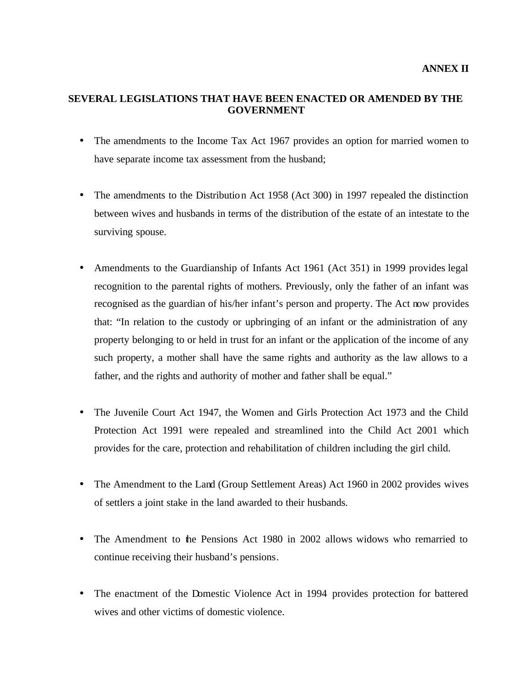# **SEVERAL LEGISLATIONS THAT HAVE BEEN ENACTED OR AMENDED BY THE GOVERNMENT**

- The amendments to the Income Tax Act 1967 provides an option for married women to have separate income tax assessment from the husband;
- The amendments to the Distribution Act 1958 (Act 300) in 1997 repealed the distinction between wives and husbands in terms of the distribution of the estate of an intestate to the surviving spouse.
- Amendments to the Guardianship of Infants Act 1961 (Act 351) in 1999 provides legal recognition to the parental rights of mothers. Previously, only the father of an infant was recognised as the guardian of his/her infant's person and property. The Act now provides that: "In relation to the custody or upbringing of an infant or the administration of any property belonging to or held in trust for an infant or the application of the income of any such property, a mother shall have the same rights and authority as the law allows to a father, and the rights and authority of mother and father shall be equal."
- The Juvenile Court Act 1947, the Women and Girls Protection Act 1973 and the Child Protection Act 1991 were repealed and streamlined into the Child Act 2001 which provides for the care, protection and rehabilitation of children including the girl child.
- The Amendment to the Land (Group Settlement Areas) Act 1960 in 2002 provides wives of settlers a joint stake in the land awarded to their husbands.
- The Amendment to the Pensions Act 1980 in 2002 allows widows who remarried to continue receiving their husband's pensions.
- The enactment of the Domestic Violence Act in 1994 provides protection for battered wives and other victims of domestic violence.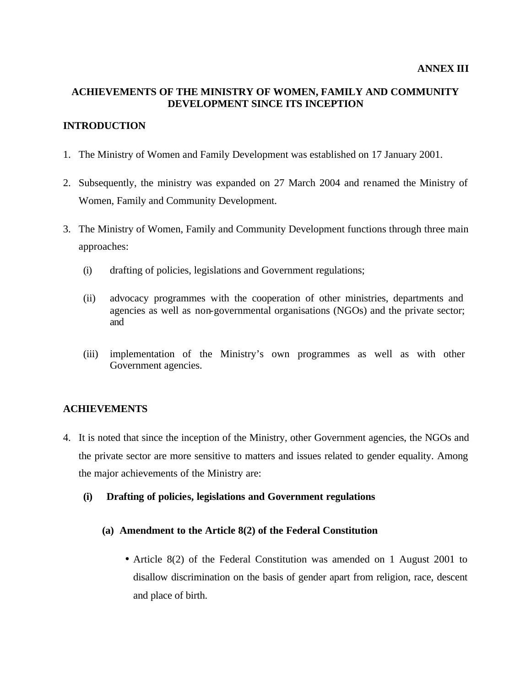# **ACHIEVEMENTS OF THE MINISTRY OF WOMEN, FAMILY AND COMMUNITY DEVELOPMENT SINCE ITS INCEPTION**

# **INTRODUCTION**

- 1. The Ministry of Women and Family Development was established on 17 January 2001.
- 2. Subsequently, the ministry was expanded on 27 March 2004 and renamed the Ministry of Women, Family and Community Development.
- 3. The Ministry of Women, Family and Community Development functions through three main approaches:
	- (i) drafting of policies, legislations and Government regulations;
	- (ii) advocacy programmes with the cooperation of other ministries, departments and agencies as well as non-governmental organisations (NGOs) and the private sector; and
	- (iii) implementation of the Ministry's own programmes as well as with other Government agencies.

## **ACHIEVEMENTS**

- 4. It is noted that since the inception of the Ministry, other Government agencies, the NGOs and the private sector are more sensitive to matters and issues related to gender equality. Among the major achievements of the Ministry are:
	- **(i) Drafting of policies, legislations and Government regulations**
		- **(a) Amendment to the Article 8(2) of the Federal Constitution**
			- Article 8(2) of the Federal Constitution was amended on 1 August 2001 to disallow discrimination on the basis of gender apart from religion, race, descent and place of birth.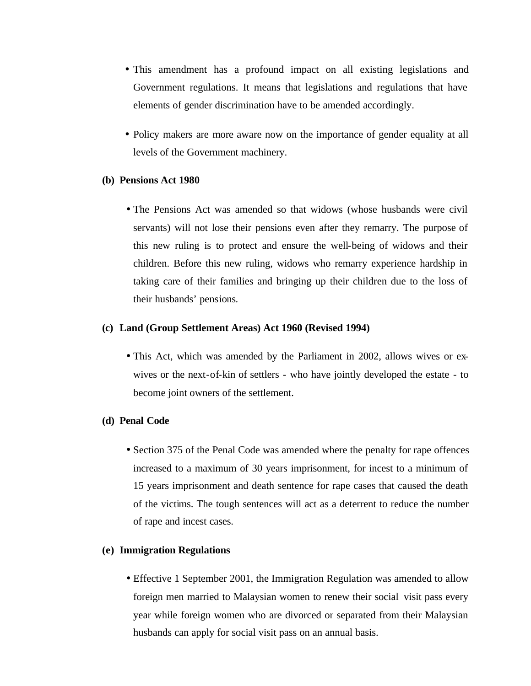- This amendment has a profound impact on all existing legislations and Government regulations. It means that legislations and regulations that have elements of gender discrimination have to be amended accordingly.
- Policy makers are more aware now on the importance of gender equality at all levels of the Government machinery.

#### **(b) Pensions Act 1980**

• The Pensions Act was amended so that widows (whose husbands were civil servants) will not lose their pensions even after they remarry. The purpose of this new ruling is to protect and ensure the well-being of widows and their children. Before this new ruling, widows who remarry experience hardship in taking care of their families and bringing up their children due to the loss of their husbands' pensions.

#### **(c) Land (Group Settlement Areas) Act 1960 (Revised 1994)**

• This Act, which was amended by the Parliament in 2002, allows wives or exwives or the next-of-kin of settlers - who have jointly developed the estate - to become joint owners of the settlement.

#### **(d) Penal Code**

• Section 375 of the Penal Code was amended where the penalty for rape offences increased to a maximum of 30 years imprisonment, for incest to a minimum of 15 years imprisonment and death sentence for rape cases that caused the death of the victims. The tough sentences will act as a deterrent to reduce the number of rape and incest cases.

### **(e) Immigration Regulations**

• Effective 1 September 2001, the Immigration Regulation was amended to allow foreign men married to Malaysian women to renew their social visit pass every year while foreign women who are divorced or separated from their Malaysian husbands can apply for social visit pass on an annual basis.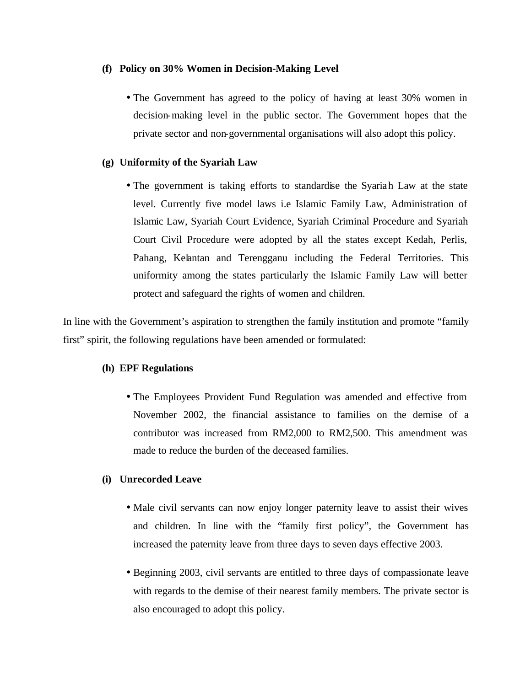### **(f) Policy on 30% Women in Decision-Making Level**

• The Government has agreed to the policy of having at least 30% women in decision-making level in the public sector. The Government hopes that the private sector and non-governmental organisations will also adopt this policy.

# **(g) Uniformity of the Syariah Law**

• The government is taking efforts to standardise the Syariah Law at the state level. Currently five model laws i.e Islamic Family Law, Administration of Islamic Law, Syariah Court Evidence, Syariah Criminal Procedure and Syariah Court Civil Procedure were adopted by all the states except Kedah, Perlis, Pahang, Kelantan and Terengganu including the Federal Territories. This uniformity among the states particularly the Islamic Family Law will better protect and safeguard the rights of women and children.

In line with the Government's aspiration to strengthen the family institution and promote "family first" spirit, the following regulations have been amended or formulated:

## **(h) EPF Regulations**

• The Employees Provident Fund Regulation was amended and effective from November 2002, the financial assistance to families on the demise of a contributor was increased from RM2,000 to RM2,500. This amendment was made to reduce the burden of the deceased families.

# **(i) Unrecorded Leave**

- Male civil servants can now enjoy longer paternity leave to assist their wives and children. In line with the "family first policy", the Government has increased the paternity leave from three days to seven days effective 2003.
- Beginning 2003, civil servants are entitled to three days of compassionate leave with regards to the demise of their nearest family members. The private sector is also encouraged to adopt this policy.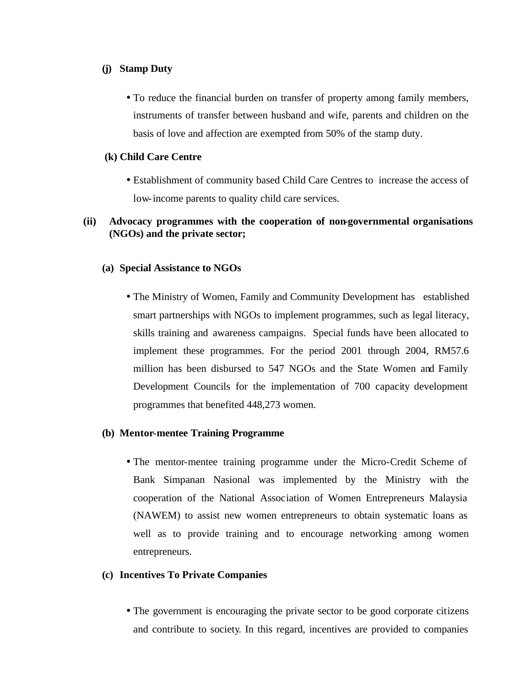### **(j) Stamp Duty**

• To reduce the financial burden on transfer of property among family members, instruments of transfer between husband and wife, parents and children on the basis of love and affection are exempted from 50% of the stamp duty.

# **(k) Child Care Centre**

• Establishment of community based Child Care Centres to increase the access of low-income parents to quality child care services.

# **(ii) Advocacy programmes with the cooperation of non-governmental organisations (NGOs) and the private sector;**

## **(a) Special Assistance to NGOs**

• The Ministry of Women, Family and Community Development has established smart partnerships with NGOs to implement programmes, such as legal literacy, skills training and awareness campaigns. Special funds have been allocated to implement these programmes. For the period 2001 through 2004, RM57.6 million has been disbursed to 547 NGOs and the State Women and Family Development Councils for the implementation of 700 capacity development programmes that benefited 448,273 women.

## **(b) Mentor-mentee Training Programme**

• The mentor-mentee training programme under the Micro-Credit Scheme of Bank Simpanan Nasional was implemented by the Ministry with the cooperation of the National Association of Women Entrepreneurs Malaysia (NAWEM) to assist new women entrepreneurs to obtain systematic loans as well as to provide training and to encourage networking among women entrepreneurs.

## **(c) Incentives To Private Companies**

• The government is encouraging the private sector to be good corporate citizens and contribute to society. In this regard, incentives are provided to companies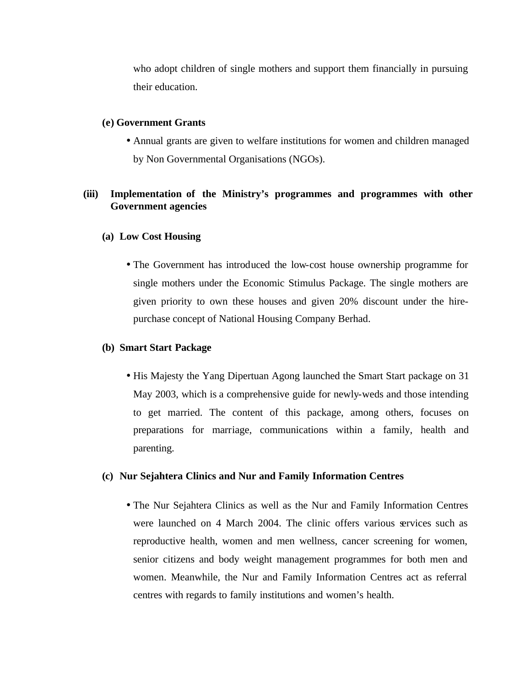who adopt children of single mothers and support them financially in pursuing their education.

#### **(e) Government Grants**

• Annual grants are given to welfare institutions for women and children managed by Non Governmental Organisations (NGOs).

# **(iii) Implementation of the Ministry's programmes and programmes with other Government agencies**

#### **(a) Low Cost Housing**

• The Government has introduced the low-cost house ownership programme for single mothers under the Economic Stimulus Package. The single mothers are given priority to own these houses and given 20% discount under the hirepurchase concept of National Housing Company Berhad.

#### **(b) Smart Start Package**

• His Majesty the Yang Dipertuan Agong launched the Smart Start package on 31 May 2003, which is a comprehensive guide for newly-weds and those intending to get married. The content of this package, among others, focuses on preparations for marriage, communications within a family, health and parenting.

#### **(c) Nur Sejahtera Clinics and Nur and Family Information Centres**

• The Nur Sejahtera Clinics as well as the Nur and Family Information Centres were launched on 4 March 2004. The clinic offers various services such as reproductive health, women and men wellness, cancer screening for women, senior citizens and body weight management programmes for both men and women. Meanwhile, the Nur and Family Information Centres act as referral centres with regards to family institutions and women's health.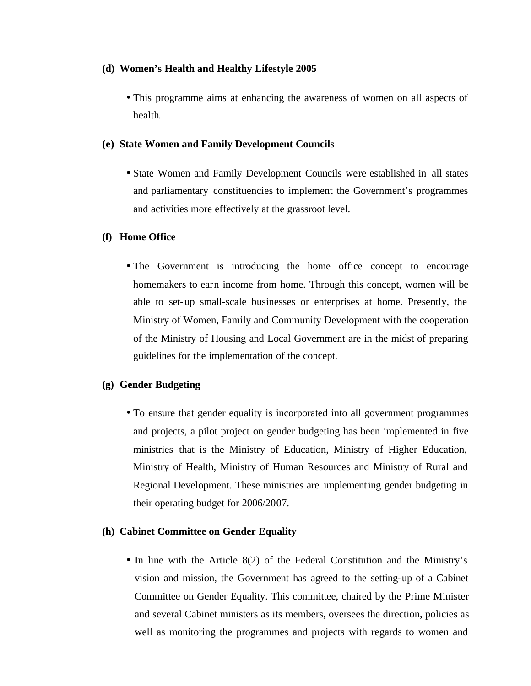## **(d) Women's Health and Healthy Lifestyle 2005**

• This programme aims at enhancing the awareness of women on all aspects of health.

### **(e) State Women and Family Development Councils**

• State Women and Family Development Councils were established in all states and parliamentary constituencies to implement the Government's programmes and activities more effectively at the grassroot level.

## **(f) Home Office**

• The Government is introducing the home office concept to encourage homemakers to earn income from home. Through this concept, women will be able to set-up small-scale businesses or enterprises at home. Presently, the Ministry of Women, Family and Community Development with the cooperation of the Ministry of Housing and Local Government are in the midst of preparing guidelines for the implementation of the concept.

## **(g) Gender Budgeting**

• To ensure that gender equality is incorporated into all government programmes and projects, a pilot project on gender budgeting has been implemented in five ministries that is the Ministry of Education, Ministry of Higher Education, Ministry of Health, Ministry of Human Resources and Ministry of Rural and Regional Development. These ministries are implementing gender budgeting in their operating budget for 2006/2007.

#### **(h) Cabinet Committee on Gender Equality**

• In line with the Article 8(2) of the Federal Constitution and the Ministry's vision and mission, the Government has agreed to the setting-up of a Cabinet Committee on Gender Equality. This committee, chaired by the Prime Minister and several Cabinet ministers as its members, oversees the direction, policies as well as monitoring the programmes and projects with regards to women and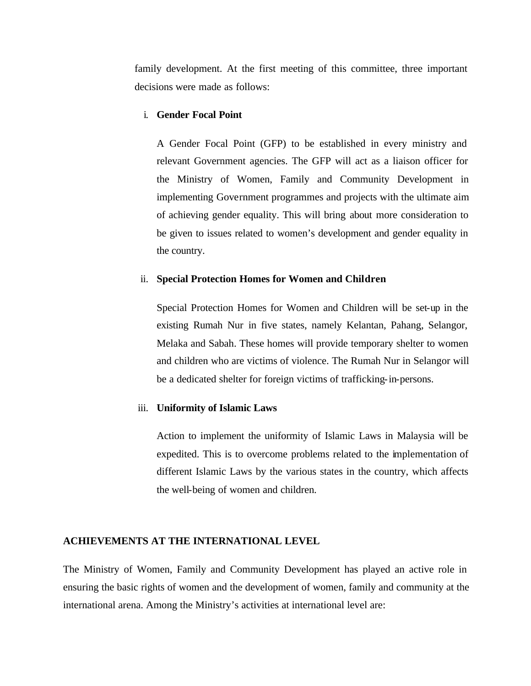family development. At the first meeting of this committee, three important decisions were made as follows:

#### i. **Gender Focal Point**

A Gender Focal Point (GFP) to be established in every ministry and relevant Government agencies. The GFP will act as a liaison officer for the Ministry of Women, Family and Community Development in implementing Government programmes and projects with the ultimate aim of achieving gender equality. This will bring about more consideration to be given to issues related to women's development and gender equality in the country.

#### ii. **Special Protection Homes for Women and Children**

Special Protection Homes for Women and Children will be set-up in the existing Rumah Nur in five states, namely Kelantan, Pahang, Selangor, Melaka and Sabah. These homes will provide temporary shelter to women and children who are victims of violence. The Rumah Nur in Selangor will be a dedicated shelter for foreign victims of trafficking-in-persons.

### iii. **Uniformity of Islamic Laws**

Action to implement the uniformity of Islamic Laws in Malaysia will be expedited. This is to overcome problems related to the implementation of different Islamic Laws by the various states in the country, which affects the well-being of women and children.

#### **ACHIEVEMENTS AT THE INTERNATIONAL LEVEL**

The Ministry of Women, Family and Community Development has played an active role in ensuring the basic rights of women and the development of women, family and community at the international arena. Among the Ministry's activities at international level are: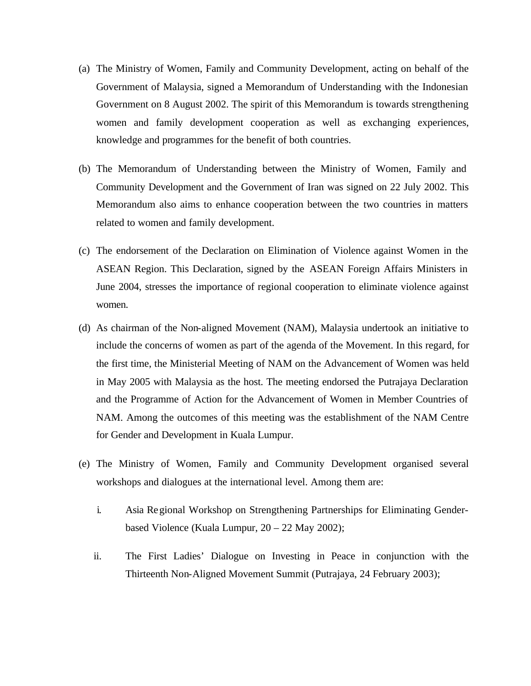- (a) The Ministry of Women, Family and Community Development, acting on behalf of the Government of Malaysia, signed a Memorandum of Understanding with the Indonesian Government on 8 August 2002. The spirit of this Memorandum is towards strengthening women and family development cooperation as well as exchanging experiences, knowledge and programmes for the benefit of both countries.
- (b) The Memorandum of Understanding between the Ministry of Women, Family and Community Development and the Government of Iran was signed on 22 July 2002. This Memorandum also aims to enhance cooperation between the two countries in matters related to women and family development.
- (c) The endorsement of the Declaration on Elimination of Violence against Women in the ASEAN Region. This Declaration, signed by the ASEAN Foreign Affairs Ministers in June 2004, stresses the importance of regional cooperation to eliminate violence against women.
- (d) As chairman of the Non-aligned Movement (NAM), Malaysia undertook an initiative to include the concerns of women as part of the agenda of the Movement. In this regard, for the first time, the Ministerial Meeting of NAM on the Advancement of Women was held in May 2005 with Malaysia as the host. The meeting endorsed the Putrajaya Declaration and the Programme of Action for the Advancement of Women in Member Countries of NAM. Among the outcomes of this meeting was the establishment of the NAM Centre for Gender and Development in Kuala Lumpur.
- (e) The Ministry of Women, Family and Community Development organised several workshops and dialogues at the international level. Among them are:
	- i. Asia Regional Workshop on Strengthening Partnerships for Eliminating Genderbased Violence (Kuala Lumpur, 20 – 22 May 2002);
	- ii. The First Ladies' Dialogue on Investing in Peace in conjunction with the Thirteenth Non-Aligned Movement Summit (Putrajaya, 24 February 2003);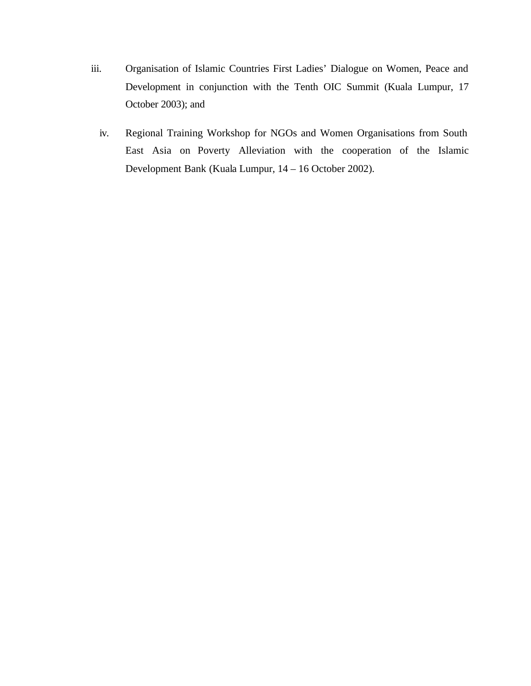- iii. Organisation of Islamic Countries First Ladies' Dialogue on Women, Peace and Development in conjunction with the Tenth OIC Summit (Kuala Lumpur, 17 October 2003); and
	- iv. Regional Training Workshop for NGOs and Women Organisations from South East Asia on Poverty Alleviation with the cooperation of the Islamic Development Bank (Kuala Lumpur, 14 – 16 October 2002).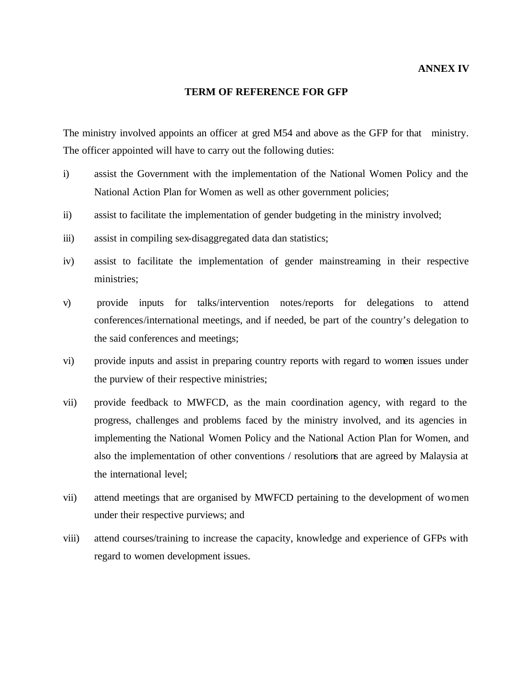#### **TERM OF REFERENCE FOR GFP**

The ministry involved appoints an officer at gred M54 and above as the GFP for that ministry. The officer appointed will have to carry out the following duties:

- i) assist the Government with the implementation of the National Women Policy and the National Action Plan for Women as well as other government policies;
- ii) assist to facilitate the implementation of gender budgeting in the ministry involved;
- iii) assist in compiling sex-disaggregated data dan statistics;
- iv) assist to facilitate the implementation of gender mainstreaming in their respective ministries;
- v) provide inputs for talks/intervention notes/reports for delegations to attend conferences/international meetings, and if needed, be part of the country's delegation to the said conferences and meetings;
- vi) provide inputs and assist in preparing country reports with regard to women issues under the purview of their respective ministries;
- vii) provide feedback to MWFCD, as the main coordination agency, with regard to the progress, challenges and problems faced by the ministry involved, and its agencies in implementing the National Women Policy and the National Action Plan for Women, and also the implementation of other conventions / resolutions that are agreed by Malaysia at the international level;
- vii) attend meetings that are organised by MWFCD pertaining to the development of women under their respective purviews; and
- viii) attend courses/training to increase the capacity, knowledge and experience of GFPs with regard to women development issues.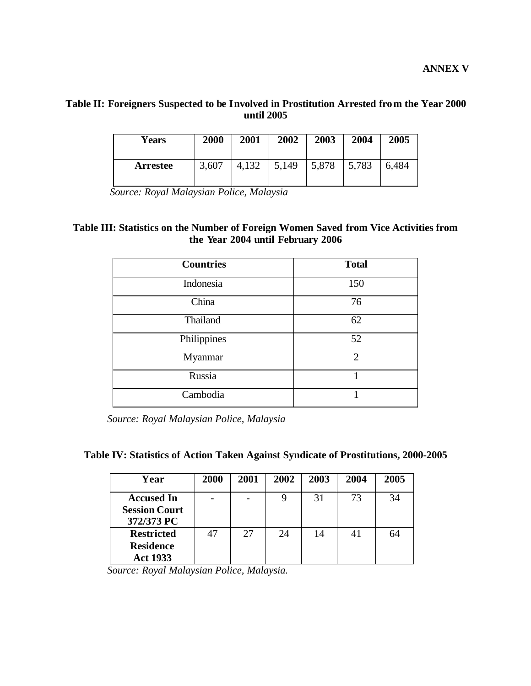# **Table II: Foreigners Suspected to be Involved in Prostitution Arrested from the Year 2000 until 2005**

| <b>Years</b>    | 2000  | 2001  | 2002  | 2003  | 2004  | 2005  |
|-----------------|-------|-------|-------|-------|-------|-------|
| <b>Arrestee</b> | 3,607 | 4,132 | 5,149 | 5,878 | 5,783 | 6,484 |

 *Source: Royal Malaysian Police, Malaysia*

# **Table III: Statistics on the Number of Foreign Women Saved from Vice Activities from the Year 2004 until February 2006**

| <b>Countries</b> | <b>Total</b>   |
|------------------|----------------|
| Indonesia        | 150            |
| China            | 76             |
| Thailand         | 62             |
| Philippines      | 52             |
| Myanmar          | $\overline{2}$ |
| Russia           |                |
| Cambodia         |                |

 *Source: Royal Malaysian Police, Malaysia*

| Table IV: Statistics of Action Taken Against Syndicate of Prostitutions, 2000-2005 |  |  |  |  |
|------------------------------------------------------------------------------------|--|--|--|--|
|                                                                                    |  |  |  |  |

| Year                                                     | 2000 | 2001 | 2002 | 2003 | 2004 | 2005 |
|----------------------------------------------------------|------|------|------|------|------|------|
| <b>Accused In</b><br><b>Session Court</b><br>372/373 PC  |      |      |      | 31   | 73   | 34   |
| <b>Restricted</b><br><b>Residence</b><br><b>Act 1933</b> |      | 27   | 24   | 14   | 41   | 64   |

 *Source: Royal Malaysian Police, Malaysia.*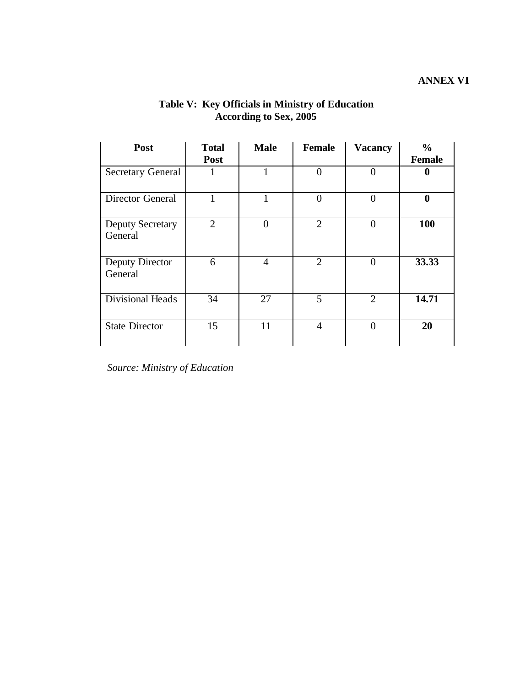| Post                               | <b>Total</b><br>Post | <b>Male</b>    | <b>Female</b>  | <b>Vacancy</b> | $\frac{0}{0}$<br><b>Female</b> |
|------------------------------------|----------------------|----------------|----------------|----------------|--------------------------------|
| <b>Secretary General</b>           |                      | 1              | $\theta$       | $\theta$       | $\bf{0}$                       |
| <b>Director General</b>            |                      | 1              | $\theta$       | $\theta$       | $\boldsymbol{0}$               |
| <b>Deputy Secretary</b><br>General | 2                    | $\overline{0}$ | $\overline{2}$ | $\theta$       | 100                            |
| Deputy Director<br>General         | 6                    | $\overline{4}$ | $\overline{2}$ | $\theta$       | 33.33                          |
| Divisional Heads                   | 34                   | 27             | 5              | $\overline{2}$ | 14.71                          |
| <b>State Director</b>              | 15                   | 11             | $\overline{4}$ | $\overline{0}$ | 20                             |

# **Table V: Key Officials in Ministry of Education According to Sex, 2005**

 *Source: Ministry of Education*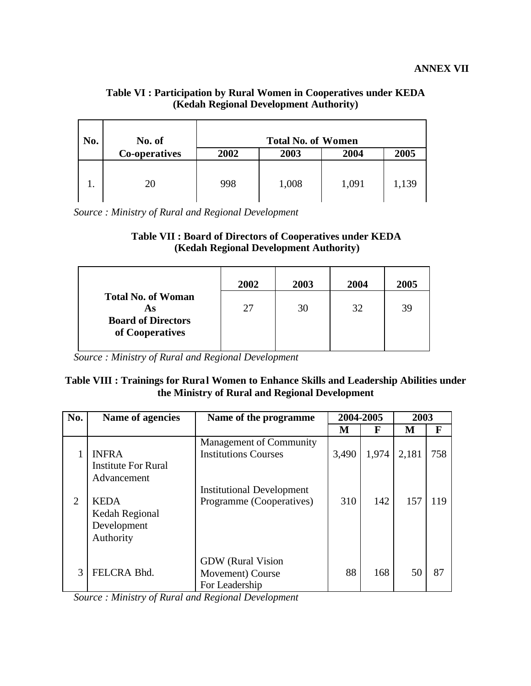# **Table VI : Participation by Rural Women in Cooperatives under KEDA (Kedah Regional Development Authority)**

| No. | No. of        |      | <b>Total No. of Women</b> |       |       |
|-----|---------------|------|---------------------------|-------|-------|
|     | Co-operatives | 2002 | 2003                      | 2004  | 2005  |
|     | 20            | 998  | 1,008                     | 1,091 | 1,139 |

 *Source : Ministry of Rural and Regional Development*

| <b>Table VII: Board of Directors of Cooperatives under KEDA</b> |  |
|-----------------------------------------------------------------|--|
| (Kedah Regional Development Authority)                          |  |

|                                              | 2002 | 2003 | 2004 | 2005 |
|----------------------------------------------|------|------|------|------|
| <b>Total No. of Woman</b><br>As              | 27   | 30   | 32   | 39   |
| <b>Board of Directors</b><br>of Cooperatives |      |      |      |      |

 *Source : Ministry of Rural and Regional Development*

# **Table VIII : Trainings for Rural Women to Enhance Skills and Leadership Abilities under the Ministry of Rural and Regional Development**

| No.           | Name of agencies                                          | Name of the programme                                          |       | 2004-2005<br>2003 |       |     |  |
|---------------|-----------------------------------------------------------|----------------------------------------------------------------|-------|-------------------|-------|-----|--|
|               |                                                           |                                                                | M     | F                 | М     | F   |  |
|               | <b>INFRA</b><br><b>Institute For Rural</b><br>Advancement | <b>Management of Community</b><br><b>Institutions Courses</b>  | 3,490 | 1,974             | 2,181 | 758 |  |
| 2             | <b>KEDA</b><br>Kedah Regional<br>Development<br>Authority | <b>Institutional Development</b><br>Programme (Cooperatives)   | 310   | 142               | 157   | 119 |  |
| $\mathcal{R}$ | FELCRA Bhd.                                               | <b>GDW</b> (Rural Vision<br>Movement) Course<br>For Leadership | 88    | 168               | 50    | 87  |  |

 *Source : Ministry of Rural and Regional Development*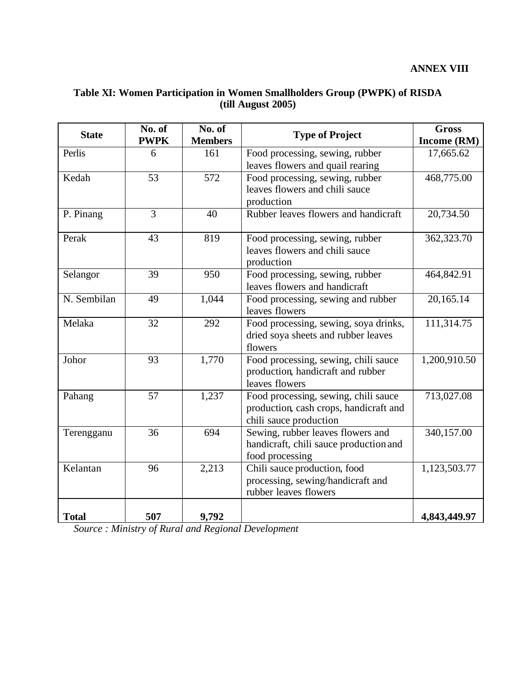# **Table XI: Women Participation in Women Smallholders Group (PWPK) of RISDA (till August 2005)**

| <b>State</b> | No. of<br><b>PWPK</b> | No. of<br><b>Members</b> | <b>Type of Project</b>                                                                                   | <b>Gross</b><br>Income (RM) |
|--------------|-----------------------|--------------------------|----------------------------------------------------------------------------------------------------------|-----------------------------|
| Perlis       | 6                     | 161                      | Food processing, sewing, rubber                                                                          | 17,665.62                   |
|              |                       |                          | leaves flowers and quail rearing                                                                         |                             |
| Kedah        | 53                    | 572                      | Food processing, sewing, rubber<br>leaves flowers and chili sauce<br>production                          | 468,775.00                  |
| P. Pinang    | 3                     | 40                       | Rubber leaves flowers and handicraft                                                                     | 20,734.50                   |
| Perak        | 43                    | 819                      | Food processing, sewing, rubber<br>leaves flowers and chili sauce<br>production                          | 362,323.70                  |
| Selangor     | 39                    | 950                      | Food processing, sewing, rubber<br>leaves flowers and handicraft                                         | 464,842.91                  |
| N. Sembilan  | 49                    | 1,044                    | Food processing, sewing and rubber<br>leaves flowers                                                     | 20,165.14                   |
| Melaka       | 32                    | 292                      | Food processing, sewing, soya drinks,<br>dried soya sheets and rubber leaves<br>flowers                  | $\overline{111,314.75}$     |
| Johor        | 93                    | 1,770                    | Food processing, sewing, chili sauce<br>production, handicraft and rubber<br>leaves flowers              | 1,200,910.50                |
| Pahang       | 57                    | 1,237                    | Food processing, sewing, chili sauce<br>production, cash crops, handicraft and<br>chili sauce production | 713,027.08                  |
| Terengganu   | $\overline{36}$       | 694                      | Sewing, rubber leaves flowers and<br>handicraft, chili sauce production and<br>food processing           | 340,157.00                  |
| Kelantan     | 96                    | 2,213                    | Chili sauce production, food<br>processing, sewing/handicraft and<br>rubber leaves flowers               | 1,123,503.77                |
| <b>Total</b> | 507                   | 9,792                    |                                                                                                          | 4,843,449.97                |

 *Source : Ministry of Rural and Regional Development*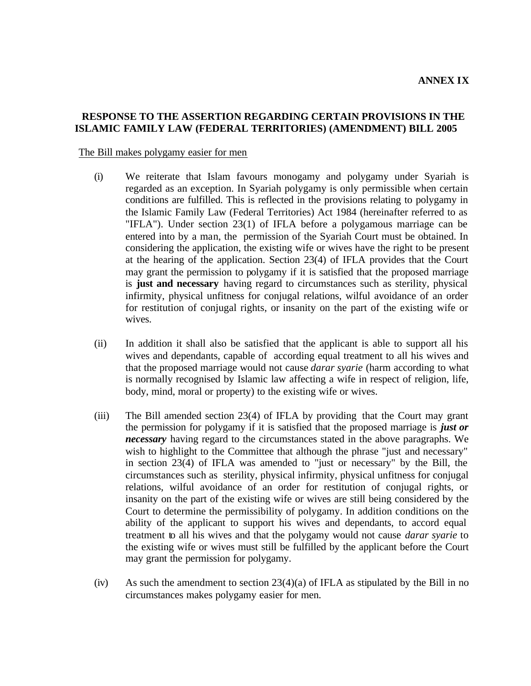### **RESPONSE TO THE ASSERTION REGARDING CERTAIN PROVISIONS IN THE ISLAMIC FAMILY LAW (FEDERAL TERRITORIES) (AMENDMENT) BILL 2005**

#### The Bill makes polygamy easier for men

- (i) We reiterate that Islam favours monogamy and polygamy under Syariah is regarded as an exception. In Syariah polygamy is only permissible when certain conditions are fulfilled. This is reflected in the provisions relating to polygamy in the Islamic Family Law (Federal Territories) Act 1984 (hereinafter referred to as "IFLA"). Under section 23(1) of IFLA before a polygamous marriage can be entered into by a man, the permission of the Syariah Court must be obtained. In considering the application, the existing wife or wives have the right to be present at the hearing of the application. Section 23(4) of IFLA provides that the Court may grant the permission to polygamy if it is satisfied that the proposed marriage is **just and necessary** having regard to circumstances such as sterility, physical infirmity, physical unfitness for conjugal relations, wilful avoidance of an order for restitution of conjugal rights, or insanity on the part of the existing wife or wives.
- (ii) In addition it shall also be satisfied that the applicant is able to support all his wives and dependants, capable of according equal treatment to all his wives and that the proposed marriage would not cause *darar syarie* (harm according to what is normally recognised by Islamic law affecting a wife in respect of religion, life, body, mind, moral or property) to the existing wife or wives.
- (iii) The Bill amended section 23(4) of IFLA by providing that the Court may grant the permission for polygamy if it is satisfied that the proposed marriage is *just or necessary* having regard to the circumstances stated in the above paragraphs. We wish to highlight to the Committee that although the phrase "just and necessary" in section 23(4) of IFLA was amended to "just or necessary" by the Bill, the circumstances such as sterility, physical infirmity, physical unfitness for conjugal relations, wilful avoidance of an order for restitution of conjugal rights, or insanity on the part of the existing wife or wives are still being considered by the Court to determine the permissibility of polygamy. In addition conditions on the ability of the applicant to support his wives and dependants, to accord equal treatment to all his wives and that the polygamy would not cause *darar syarie* to the existing wife or wives must still be fulfilled by the applicant before the Court may grant the permission for polygamy.
- (iv) As such the amendment to section  $23(4)(a)$  of IFLA as stipulated by the Bill in no circumstances makes polygamy easier for men.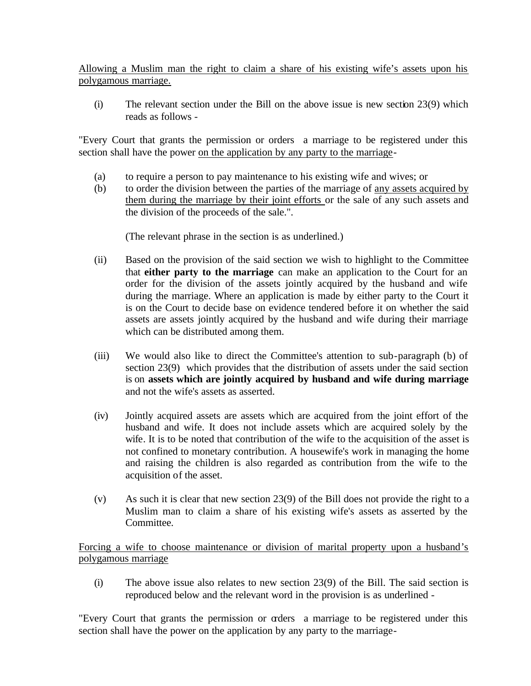Allowing a Muslim man the right to claim a share of his existing wife's assets upon his polygamous marriage.

(i) The relevant section under the Bill on the above issue is new section 23(9) which reads as follows -

"Every Court that grants the permission or orders a marriage to be registered under this section shall have the power on the application by any party to the marriage-

- (a) to require a person to pay maintenance to his existing wife and wives; or
- (b) to order the division between the parties of the marriage of any assets acquired by them during the marriage by their joint efforts or the sale of any such assets and the division of the proceeds of the sale.".

(The relevant phrase in the section is as underlined.)

- (ii) Based on the provision of the said section we wish to highlight to the Committee that **either party to the marriage** can make an application to the Court for an order for the division of the assets jointly acquired by the husband and wife during the marriage. Where an application is made by either party to the Court it is on the Court to decide base on evidence tendered before it on whether the said assets are assets jointly acquired by the husband and wife during their marriage which can be distributed among them.
- (iii) We would also like to direct the Committee's attention to sub-paragraph (b) of section 23(9) which provides that the distribution of assets under the said section is on **assets which are jointly acquired by husband and wife during marriage**  and not the wife's assets as asserted.
- (iv) Jointly acquired assets are assets which are acquired from the joint effort of the husband and wife. It does not include assets which are acquired solely by the wife. It is to be noted that contribution of the wife to the acquisition of the asset is not confined to monetary contribution. A housewife's work in managing the home and raising the children is also regarded as contribution from the wife to the acquisition of the asset.
- (v) As such it is clear that new section 23(9) of the Bill does not provide the right to a Muslim man to claim a share of his existing wife's assets as asserted by the Committee.

Forcing a wife to choose maintenance or division of marital property upon a husband's polygamous marriage

(i) The above issue also relates to new section 23(9) of the Bill. The said section is reproduced below and the relevant word in the provision is as underlined -

"Every Court that grants the permission or orders a marriage to be registered under this section shall have the power on the application by any party to the marriage-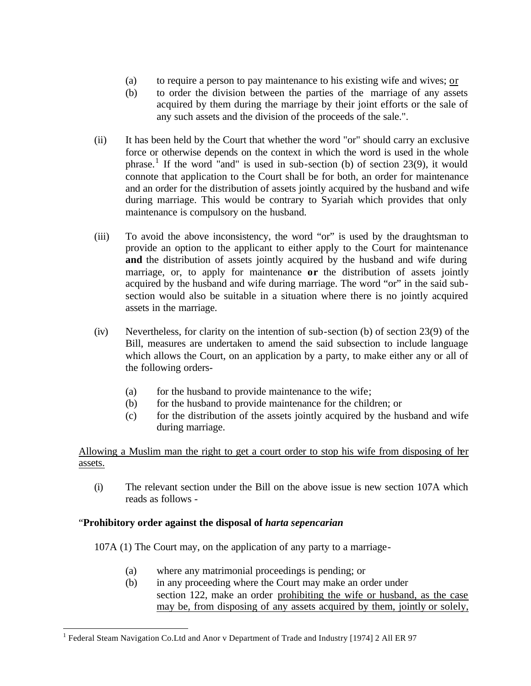- (a) to require a person to pay maintenance to his existing wife and wives; or
- (b) to order the division between the parties of the marriage of any assets acquired by them during the marriage by their joint efforts or the sale of any such assets and the division of the proceeds of the sale.".
- (ii) It has been held by the Court that whether the word "or" should carry an exclusive force or otherwise depends on the context in which the word is used in the whole phrase.<sup>1</sup> If the word "and" is used in sub-section (b) of section 23(9), it would connote that application to the Court shall be for both, an order for maintenance and an order for the distribution of assets jointly acquired by the husband and wife during marriage. This would be contrary to Syariah which provides that only maintenance is compulsory on the husband.
- (iii) To avoid the above inconsistency, the word "or" is used by the draughtsman to provide an option to the applicant to either apply to the Court for maintenance **and** the distribution of assets jointly acquired by the husband and wife during marriage, or, to apply for maintenance **or** the distribution of assets jointly acquired by the husband and wife during marriage. The word "or" in the said subsection would also be suitable in a situation where there is no jointly acquired assets in the marriage.
- (iv) Nevertheless, for clarity on the intention of sub-section (b) of section 23(9) of the Bill, measures are undertaken to amend the said subsection to include language which allows the Court, on an application by a party, to make either any or all of the following orders-
	- (a) for the husband to provide maintenance to the wife;
	- (b) for the husband to provide maintenance for the children; or
	- (c) for the distribution of the assets jointly acquired by the husband and wife during marriage.

Allowing a Muslim man the right to get a court order to stop his wife from disposing of her assets.

(i) The relevant section under the Bill on the above issue is new section 107A which reads as follows -

# "**Prohibitory order against the disposal of** *harta sepencarian*

 $\overline{a}$ 

107A (1) The Court may, on the application of any party to a marriage-

- (a) where any matrimonial proceedings is pending; or
- (b) in any proceeding where the Court may make an order under section 122, make an order prohibiting the wife or husband, as the case may be, from disposing of any assets acquired by them, jointly or solely,

<sup>&</sup>lt;sup>1</sup> Federal Steam Navigation Co.Ltd and Anor v Department of Trade and Industry [1974] 2 All ER 97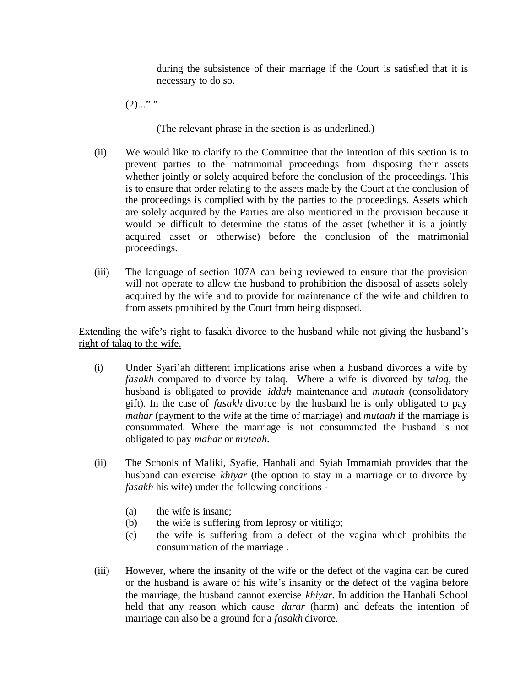during the subsistence of their marriage if the Court is satisfied that it is necessary to do so.

 $(2)$ ..."."

(The relevant phrase in the section is as underlined.)

- (ii) We would like to clarify to the Committee that the intention of this section is to prevent parties to the matrimonial proceedings from disposing their assets whether jointly or solely acquired before the conclusion of the proceedings. This is to ensure that order relating to the assets made by the Court at the conclusion of the proceedings is complied with by the parties to the proceedings. Assets which are solely acquired by the Parties are also mentioned in the provision because it would be difficult to determine the status of the asset (whether it is a jointly acquired asset or otherwise) before the conclusion of the matrimonial proceedings.
- (iii) The language of section 107A can being reviewed to ensure that the provision will not operate to allow the husband to prohibition the disposal of assets solely acquired by the wife and to provide for maintenance of the wife and children to from assets prohibited by the Court from being disposed.

Extending the wife's right to fasakh divorce to the husband while not giving the husband's right of talaq to the wife.

- (i) Under Syari'ah different implications arise when a husband divorces a wife by *fasakh* compared to divorce by talaq. Where a wife is divorced by *talaq*, the husband is obligated to provide *iddah* maintenance and *mutaah* (consolidatory gift). In the case of *fasakh* divorce by the husband he is only obligated to pay *mahar* (payment to the wife at the time of marriage) and *mutaah* if the marriage is consummated. Where the marriage is not consummated the husband is not obligated to pay *mahar* or *mutaah.*
- (ii) The Schools of Maliki, Syafie, Hanbali and Syiah Immamiah provides that the husband can exercise *khiyar* (the option to stay in a marriage or to divorce by *fasakh* his wife) under the following conditions -
	- (a) the wife is insane;
	- (b) the wife is suffering from leprosy or vitiligo;
	- (c) the wife is suffering from a defect of the vagina which prohibits the consummation of the marriage .
- (iii) However, where the insanity of the wife or the defect of the vagina can be cured or the husband is aware of his wife's insanity or the defect of the vagina before the marriage, the husband cannot exercise *khiyar.* In addition the Hanbali School held that any reason which cause *darar* (harm) and defeats the intention of marriage can also be a ground for a *fasakh* divorce.